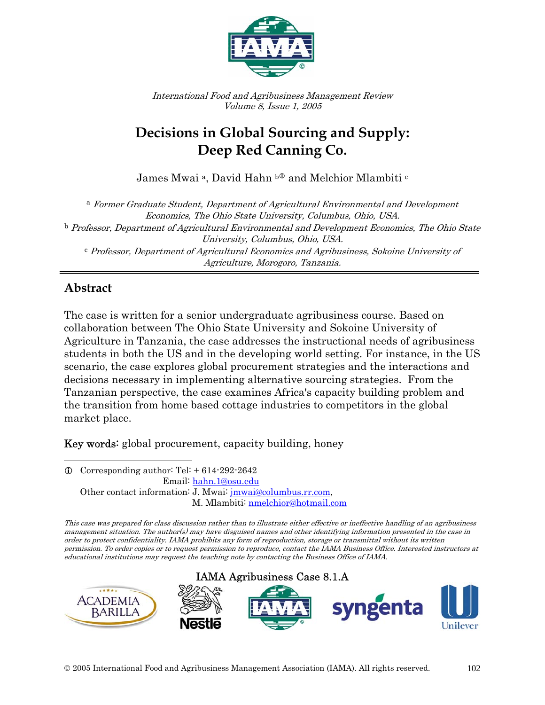

International Food and Agribusiness Management Review Volume 8, Issue 1, 2005

# **Decisions in Global Sourcing and Supply: Deep Red Canning Co.**

James Mwai<sup>a</sup>, David Hahn <sup>b</sup><sup>0</sup> and Melchior Mlambiti<sup>c</sup>

<sup>a</sup> Former Graduate Student, Department of Agricultural Environmental and Development Economics, The Ohio State University, Columbus, Ohio, USA. <sup>b</sup> Professor, Department of Agricultural Environmental and Development Economics, The Ohio State University, Columbus, Ohio, USA. <sup>c</sup> Professor, Department of Agricultural Economics and Agribusiness, Sokoine University of Agriculture, Morogoro, Tanzania.

### **Abstract**

Ī

The case is written for a senior undergraduate agribusiness course. Based on collaboration between The Ohio State University and Sokoine University of Agriculture in Tanzania, the case addresses the instructional needs of agribusiness students in both the US and in the developing world setting. For instance, in the US scenario, the case explores global procurement strategies and the interactions and decisions necessary in implementing alternative sourcing strategies. From the Tanzanian perspective, the case examines Africa's capacity building problem and the transition from home based cottage industries to competitors in the global market place.

Key words: global procurement, capacity building, honey

 $\overline{a}$  $Q$  Corresponding author: Tel:  $+ 614 - 292 - 2642$  Email: hahn.1@osu.edu Other contact information: J. Mwai: jmwai@columbus.rr.com, M. Mlambiti: nmelchior@hotmail.com

This case was prepared for class discussion rather than to illustrate either effective or ineffective handling of an agribusiness management situation. The author(s) may have disguised names and other identifying information presented in the case in order to protect confidentiality. IAMA prohibits any form of reproduction, storage or transmittal without its written permission. To order copies or to request permission to reproduce, contact the IAMA Business Office. Interested instructors at educational institutions may request the teaching note by contacting the Business Office of IAMA.

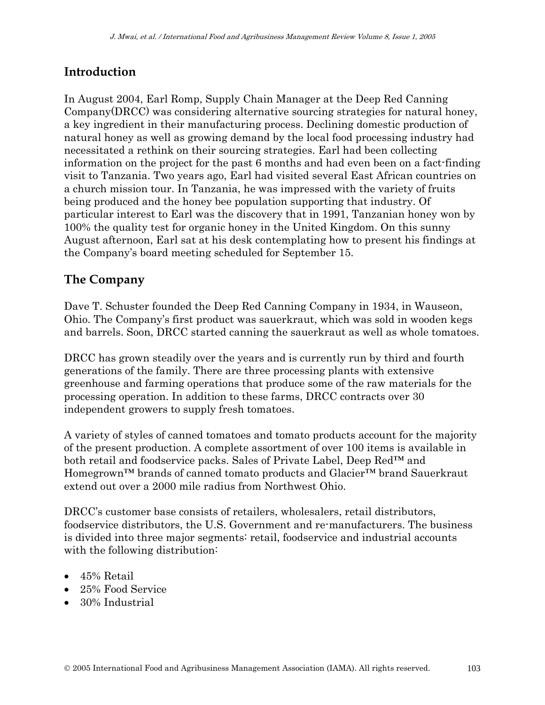### **Introduction**

In August 2004, Earl Romp, Supply Chain Manager at the Deep Red Canning Company(DRCC) was considering alternative sourcing strategies for natural honey, a key ingredient in their manufacturing process. Declining domestic production of natural honey as well as growing demand by the local food processing industry had necessitated a rethink on their sourcing strategies. Earl had been collecting information on the project for the past 6 months and had even been on a fact-finding visit to Tanzania. Two years ago, Earl had visited several East African countries on a church mission tour. In Tanzania, he was impressed with the variety of fruits being produced and the honey bee population supporting that industry. Of particular interest to Earl was the discovery that in 1991, Tanzanian honey won by 100% the quality test for organic honey in the United Kingdom. On this sunny August afternoon, Earl sat at his desk contemplating how to present his findings at the Company's board meeting scheduled for September 15.

#### **The Company**

Dave T. Schuster founded the Deep Red Canning Company in 1934, in Wauseon, Ohio. The Company's first product was sauerkraut, which was sold in wooden kegs and barrels. Soon, DRCC started canning the sauerkraut as well as whole tomatoes.

DRCC has grown steadily over the years and is currently run by third and fourth generations of the family. There are three processing plants with extensive greenhouse and farming operations that produce some of the raw materials for the processing operation. In addition to these farms, DRCC contracts over 30 independent growers to supply fresh tomatoes.

A variety of styles of canned tomatoes and tomato products account for the majority of the present production. A complete assortment of over 100 items is available in both retail and foodservice packs. Sales of Private Label, Deep Red™ and Homegrown™ brands of canned tomato products and Glacier™ brand Sauerkraut extend out over a 2000 mile radius from Northwest Ohio.

DRCC's customer base consists of retailers, wholesalers, retail distributors, foodservice distributors, the U.S. Government and re-manufacturers. The business is divided into three major segments: retail, foodservice and industrial accounts with the following distribution:

- 45% Retail
- 25% Food Service
- 30% Industrial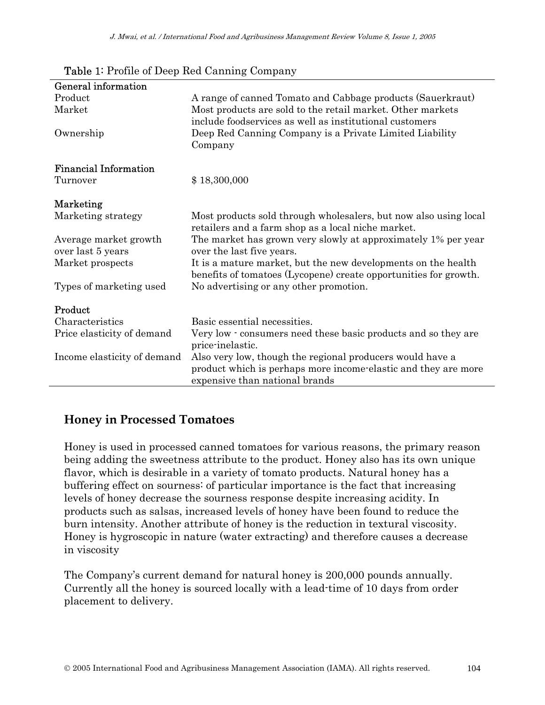| General information          |                                                                  |
|------------------------------|------------------------------------------------------------------|
| Product                      | A range of canned Tomato and Cabbage products (Sauerkraut)       |
| Market                       | Most products are sold to the retail market. Other markets       |
|                              | include foodservices as well as institutional customers          |
| Ownership                    | Deep Red Canning Company is a Private Limited Liability          |
|                              | Company                                                          |
| <b>Financial Information</b> |                                                                  |
| Turnover                     |                                                                  |
|                              | \$18,300,000                                                     |
| Marketing                    |                                                                  |
| Marketing strategy           | Most products sold through wholesalers, but now also using local |
|                              | retailers and a farm shop as a local niche market.               |
| Average market growth        | The market has grown very slowly at approximately 1% per year    |
| over last 5 years            | over the last five years.                                        |
| Market prospects             | It is a mature market, but the new developments on the health    |
|                              | benefits of tomatoes (Lycopene) create opportunities for growth. |
| Types of marketing used      | No advertising or any other promotion.                           |
|                              |                                                                  |
| Product                      |                                                                  |
| Characteristics              | Basic essential necessities.                                     |
| Price elasticity of demand   | Very low - consumers need these basic products and so they are   |
|                              | price-inelastic.                                                 |
| Income elasticity of demand  | Also very low, though the regional producers would have a        |
|                              | product which is perhaps more income-elastic and they are more   |
|                              | expensive than national brands                                   |

Table 1: Profile of Deep Red Canning Company

#### **Honey in Processed Tomatoes**

Honey is used in processed canned tomatoes for various reasons, the primary reason being adding the sweetness attribute to the product. Honey also has its own unique flavor, which is desirable in a variety of tomato products. Natural honey has a buffering effect on sourness: of particular importance is the fact that increasing levels of honey decrease the sourness response despite increasing acidity. In products such as salsas, increased levels of honey have been found to reduce the burn intensity. Another attribute of honey is the reduction in textural viscosity. Honey is hygroscopic in nature (water extracting) and therefore causes a decrease in viscosity

The Company's current demand for natural honey is 200,000 pounds annually. Currently all the honey is sourced locally with a lead-time of 10 days from order placement to delivery.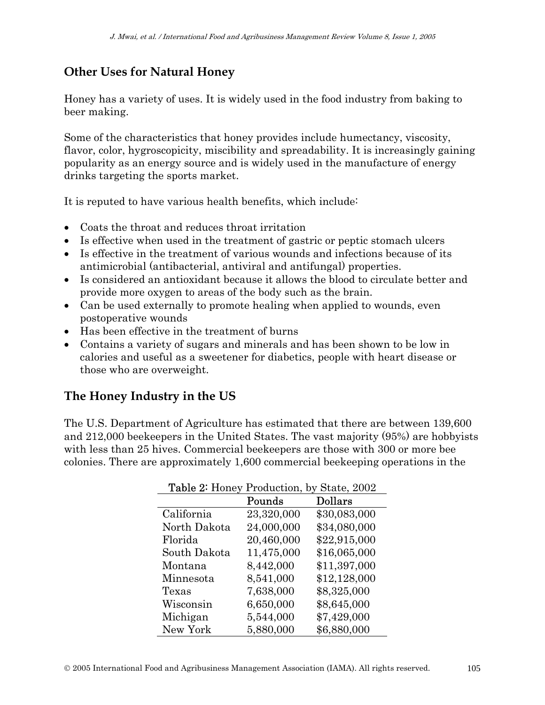### **Other Uses for Natural Honey**

Honey has a variety of uses. It is widely used in the food industry from baking to beer making.

Some of the characteristics that honey provides include humectancy, viscosity, flavor, color, hygroscopicity, miscibility and spreadability. It is increasingly gaining popularity as an energy source and is widely used in the manufacture of energy drinks targeting the sports market.

It is reputed to have various health benefits, which include:

- Coats the throat and reduces throat irritation
- Is effective when used in the treatment of gastric or peptic stomach ulcers
- Is effective in the treatment of various wounds and infections because of its antimicrobial (antibacterial, antiviral and antifungal) properties.
- Is considered an antioxidant because it allows the blood to circulate better and provide more oxygen to areas of the body such as the brain.
- Can be used externally to promote healing when applied to wounds, even postoperative wounds
- Has been effective in the treatment of burns
- Contains a variety of sugars and minerals and has been shown to be low in calories and useful as a sweetener for diabetics, people with heart disease or those who are overweight.

### **The Honey Industry in the US**

The U.S. Department of Agriculture has estimated that there are between 139,600 and 212,000 beekeepers in the United States. The vast majority (95%) are hobbyists with less than 25 hives. Commercial beekeepers are those with 300 or more bee colonies. There are approximately 1,600 commercial beekeeping operations in the

| <b>Table 2:</b> Honey Production, by State, 2002 |            |              |  |
|--------------------------------------------------|------------|--------------|--|
|                                                  | Pounds     | Dollars      |  |
| California                                       | 23,320,000 | \$30,083,000 |  |
| North Dakota                                     | 24,000,000 | \$34,080,000 |  |
| Florida                                          | 20,460,000 | \$22,915,000 |  |
| South Dakota                                     | 11,475,000 | \$16,065,000 |  |
| Montana                                          | 8,442,000  | \$11,397,000 |  |
| Minnesota                                        | 8,541,000  | \$12,128,000 |  |
| Texas                                            | 7,638,000  | \$8,325,000  |  |
| Wisconsin                                        | 6,650,000  | \$8,645,000  |  |
| Michigan                                         | 5,544,000  | \$7,429,000  |  |
| New York                                         | 5,880,000  | \$6,880,000  |  |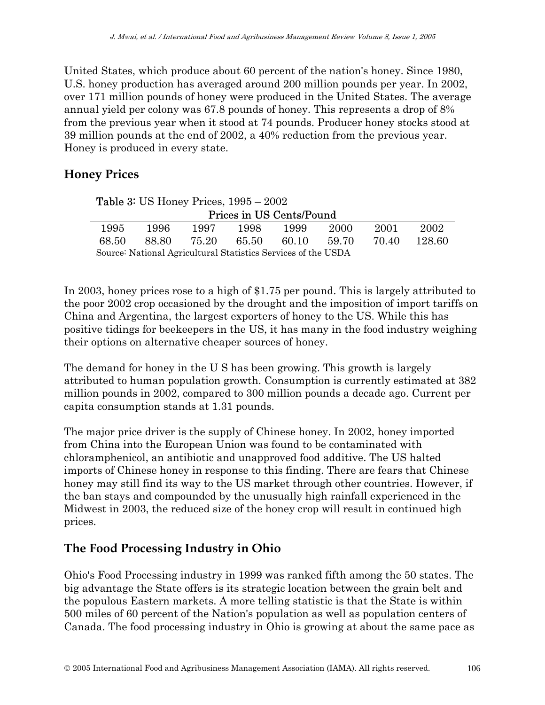United States, which produce about 60 percent of the nation's honey. Since 1980, U.S. honey production has averaged around 200 million pounds per year. In 2002, over 171 million pounds of honey were produced in the United States. The average annual yield per colony was 67.8 pounds of honey. This represents a drop of 8% from the previous year when it stood at 74 pounds. Producer honey stocks stood at 39 million pounds at the end of 2002, a 40% reduction from the previous year. Honey is produced in every state.

#### **Honey Prices**

| <b>Table 3:</b> US Honey Prices, $1995 - 2002$                |       |       |       |       |       |       |        |
|---------------------------------------------------------------|-------|-------|-------|-------|-------|-------|--------|
| Prices in US Cents/Pound                                      |       |       |       |       |       |       |        |
| 1995                                                          | 1996  | 1997  | 1998  | 1999  | 2000  | 2001  | 2002   |
| 68.50                                                         | 88.80 | 75.20 | 65.50 | 60.10 | 59.70 | 70.40 | 128.60 |
| Source: National Agricultural Statistics Services of the USDA |       |       |       |       |       |       |        |

In 2003, honey prices rose to a high of \$1.75 per pound. This is largely attributed to the poor 2002 crop occasioned by the drought and the imposition of import tariffs on China and Argentina, the largest exporters of honey to the US. While this has positive tidings for beekeepers in the US, it has many in the food industry weighing their options on alternative cheaper sources of honey.

The demand for honey in the U S has been growing. This growth is largely attributed to human population growth. Consumption is currently estimated at 382 million pounds in 2002, compared to 300 million pounds a decade ago. Current per capita consumption stands at 1.31 pounds.

The major price driver is the supply of Chinese honey. In 2002, honey imported from China into the European Union was found to be contaminated with chloramphenicol, an antibiotic and unapproved food additive. The US halted imports of Chinese honey in response to this finding. There are fears that Chinese honey may still find its way to the US market through other countries. However, if the ban stays and compounded by the unusually high rainfall experienced in the Midwest in 2003, the reduced size of the honey crop will result in continued high prices.

### **The Food Processing Industry in Ohio**

Ohio's Food Processing industry in 1999 was ranked fifth among the 50 states. The big advantage the State offers is its strategic location between the grain belt and the populous Eastern markets. A more telling statistic is that the State is within 500 miles of 60 percent of the Nation's population as well as population centers of Canada. The food processing industry in Ohio is growing at about the same pace as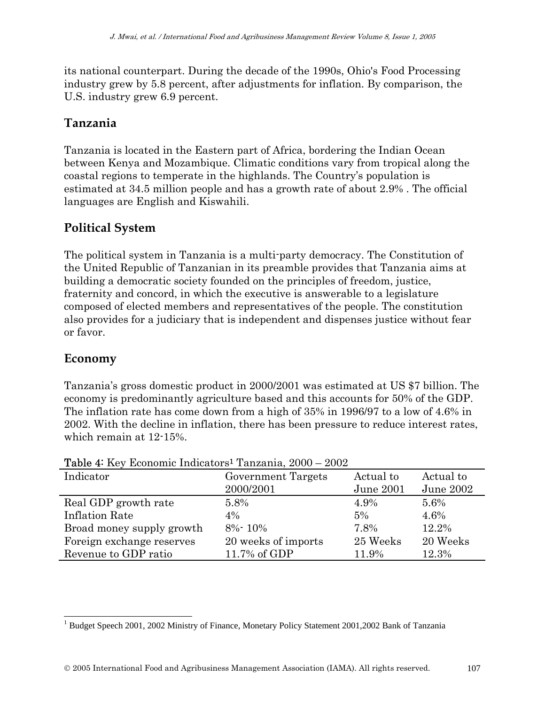its national counterpart. During the decade of the 1990s, Ohio's Food Processing industry grew by 5.8 percent, after adjustments for inflation. By comparison, the U.S. industry grew 6.9 percent.

#### **Tanzania**

Tanzania is located in the Eastern part of Africa, bordering the Indian Ocean between Kenya and Mozambique. Climatic conditions vary from tropical along the coastal regions to temperate in the highlands. The Country's population is estimated at 34.5 million people and has a growth rate of about 2.9% . The official languages are English and Kiswahili.

#### **Political System**

The political system in Tanzania is a multi-party democracy. The Constitution of the United Republic of Tanzanian in its preamble provides that Tanzania aims at building a democratic society founded on the principles of freedom, justice, fraternity and concord, in which the executive is answerable to a legislature composed of elected members and representatives of the people. The constitution also provides for a judiciary that is independent and dispenses justice without fear or favor.

#### **Economy**

 $\overline{\phantom{a}}$ 

Tanzania's gross domestic product in 2000/2001 was estimated at US \$7 billion. The economy is predominantly agriculture based and this accounts for 50% of the GDP. The inflation rate has come down from a high of 35% in 1996/97 to a low of 4.6% in 2002. With the decline in inflation, there has been pressure to reduce interest rates, which remain at 12-15%.

| Indicator                 | <b>Government Targets</b> | Actual to | Actual to |
|---------------------------|---------------------------|-----------|-----------|
|                           | 2000/2001                 | June 2001 | June 2002 |
| Real GDP growth rate      | 5.8%                      | 4.9%      | 5.6%      |
| <b>Inflation Rate</b>     | $4\%$                     | 5%        | 4.6%      |
| Broad money supply growth | $8\% - 10\%$              | 7.8%      | 12.2%     |
| Foreign exchange reserves | 20 weeks of imports       | 25 Weeks  | 20 Weeks  |
| Revenue to GDP ratio      | 11.7% of GDP              | 11.9%     | 12.3%     |

Table 4: Key Economic Indicators1 Tanzania, 2000 – 2002

<sup>&</sup>lt;sup>1</sup> Budget Speech 2001, 2002 Ministry of Finance, Monetary Policy Statement 2001, 2002 Bank of Tanzania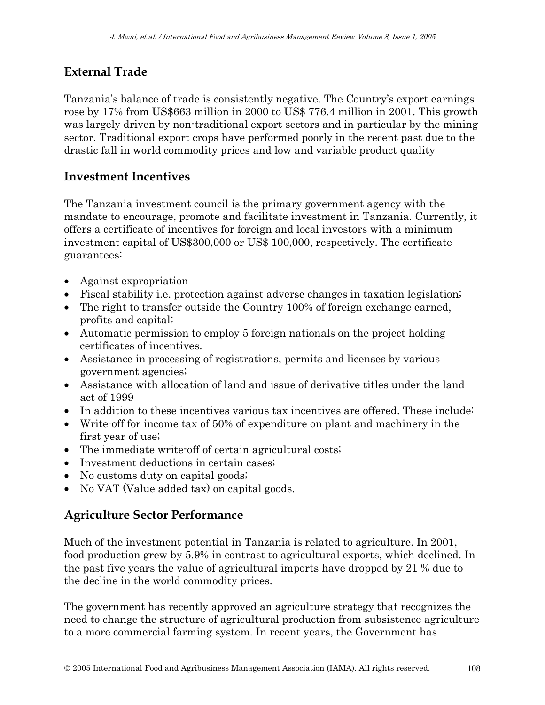### **External Trade**

Tanzania's balance of trade is consistently negative. The Country's export earnings rose by 17% from US\$663 million in 2000 to US\$ 776.4 million in 2001. This growth was largely driven by non-traditional export sectors and in particular by the mining sector. Traditional export crops have performed poorly in the recent past due to the drastic fall in world commodity prices and low and variable product quality

#### **Investment Incentives**

The Tanzania investment council is the primary government agency with the mandate to encourage, promote and facilitate investment in Tanzania. Currently, it offers a certificate of incentives for foreign and local investors with a minimum investment capital of US\$300,000 or US\$ 100,000, respectively. The certificate guarantees:

- Against expropriation
- Fiscal stability i.e. protection against adverse changes in taxation legislation;
- The right to transfer outside the Country 100% of foreign exchange earned, profits and capital;
- Automatic permission to employ 5 foreign nationals on the project holding certificates of incentives.
- Assistance in processing of registrations, permits and licenses by various government agencies;
- Assistance with allocation of land and issue of derivative titles under the land act of 1999
- In addition to these incentives various tax incentives are offered. These include:
- Write-off for income tax of 50% of expenditure on plant and machinery in the first year of use;
- The immediate write-off of certain agricultural costs;
- Investment deductions in certain cases;
- No customs duty on capital goods;
- No VAT (Value added tax) on capital goods.

#### **Agriculture Sector Performance**

Much of the investment potential in Tanzania is related to agriculture. In 2001, food production grew by 5.9% in contrast to agricultural exports, which declined. In the past five years the value of agricultural imports have dropped by 21 % due to the decline in the world commodity prices.

The government has recently approved an agriculture strategy that recognizes the need to change the structure of agricultural production from subsistence agriculture to a more commercial farming system. In recent years, the Government has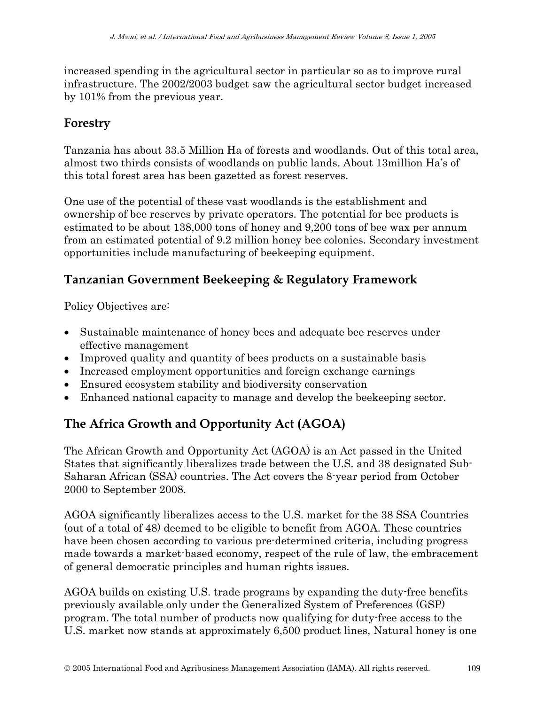increased spending in the agricultural sector in particular so as to improve rural infrastructure. The 2002/2003 budget saw the agricultural sector budget increased by 101% from the previous year.

### **Forestry**

Tanzania has about 33.5 Million Ha of forests and woodlands. Out of this total area, almost two thirds consists of woodlands on public lands. About 13million Ha's of this total forest area has been gazetted as forest reserves.

One use of the potential of these vast woodlands is the establishment and ownership of bee reserves by private operators. The potential for bee products is estimated to be about 138,000 tons of honey and 9,200 tons of bee wax per annum from an estimated potential of 9.2 million honey bee colonies. Secondary investment opportunities include manufacturing of beekeeping equipment.

### **Tanzanian Government Beekeeping & Regulatory Framework**

Policy Objectives are:

- Sustainable maintenance of honey bees and adequate bee reserves under effective management
- Improved quality and quantity of bees products on a sustainable basis
- Increased employment opportunities and foreign exchange earnings
- Ensured ecosystem stability and biodiversity conservation
- Enhanced national capacity to manage and develop the beekeeping sector.

## **The Africa Growth and Opportunity Act (AGOA)**

The African Growth and Opportunity Act (AGOA) is an Act passed in the United States that significantly liberalizes trade between the U.S. and 38 designated Sub-Saharan African (SSA) countries. The Act covers the 8-year period from October 2000 to September 2008.

AGOA significantly liberalizes access to the U.S. market for the 38 SSA Countries (out of a total of 48) deemed to be eligible to benefit from AGOA. These countries have been chosen according to various pre-determined criteria, including progress made towards a market-based economy, respect of the rule of law, the embracement of general democratic principles and human rights issues.

AGOA builds on existing U.S. trade programs by expanding the duty-free benefits previously available only under the Generalized System of Preferences (GSP) program. The total number of products now qualifying for duty-free access to the U.S. market now stands at approximately 6,500 product lines, Natural honey is one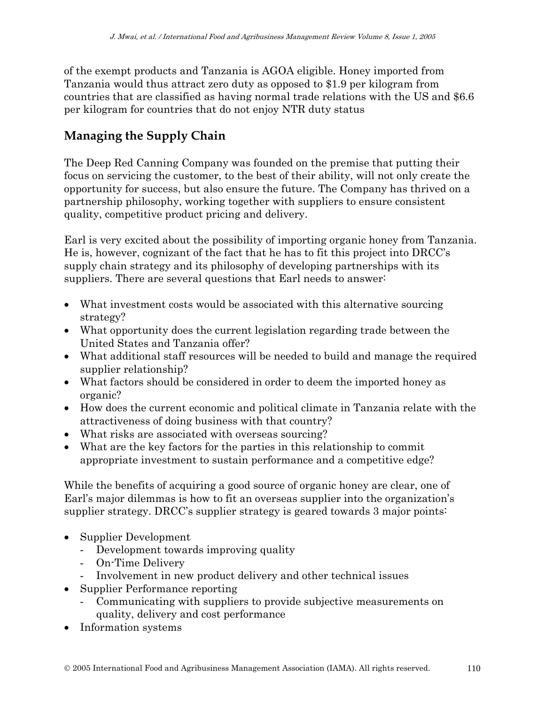of the exempt products and Tanzania is AGOA eligible. Honey imported from Tanzania would thus attract zero duty as opposed to \$1.9 per kilogram from countries that are classified as having normal trade relations with the US and \$6.6 per kilogram for countries that do not enjoy NTR duty status

## **Managing the Supply Chain**

The Deep Red Canning Company was founded on the premise that putting their focus on servicing the customer, to the best of their ability, will not only create the opportunity for success, but also ensure the future. The Company has thrived on a partnership philosophy, working together with suppliers to ensure consistent quality, competitive product pricing and delivery.

Earl is very excited about the possibility of importing organic honey from Tanzania. He is, however, cognizant of the fact that he has to fit this project into DRCC's supply chain strategy and its philosophy of developing partnerships with its suppliers. There are several questions that Earl needs to answer:

- What investment costs would be associated with this alternative sourcing strategy?
- What opportunity does the current legislation regarding trade between the United States and Tanzania offer?
- What additional staff resources will be needed to build and manage the required supplier relationship?
- What factors should be considered in order to deem the imported honey as organic?
- How does the current economic and political climate in Tanzania relate with the attractiveness of doing business with that country?
- What risks are associated with overseas sourcing?
- What are the key factors for the parties in this relationship to commit appropriate investment to sustain performance and a competitive edge?

While the benefits of acquiring a good source of organic honey are clear, one of Earl's major dilemmas is how to fit an overseas supplier into the organization's supplier strategy. DRCC's supplier strategy is geared towards 3 major points:

- Supplier Development
	- Development towards improving quality
	- On-Time Delivery
	- Involvement in new product delivery and other technical issues
- Supplier Performance reporting
	- Communicating with suppliers to provide subjective measurements on quality, delivery and cost performance
- Information systems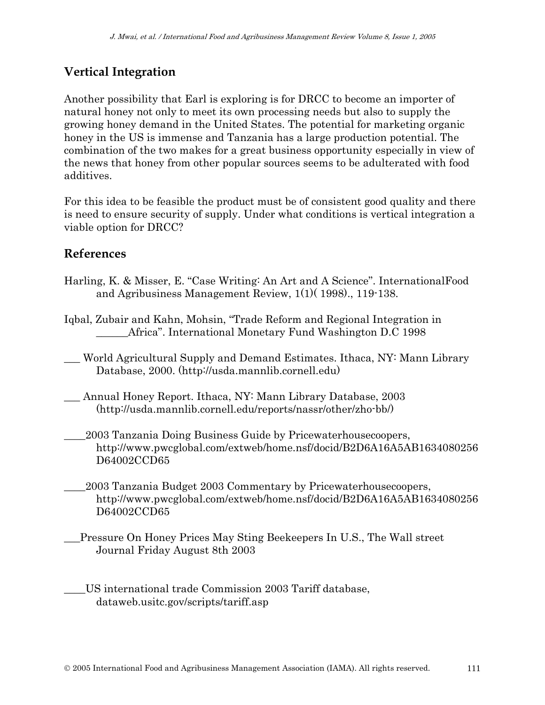### **Vertical Integration**

Another possibility that Earl is exploring is for DRCC to become an importer of natural honey not only to meet its own processing needs but also to supply the growing honey demand in the United States. The potential for marketing organic honey in the US is immense and Tanzania has a large production potential. The combination of the two makes for a great business opportunity especially in view of the news that honey from other popular sources seems to be adulterated with food additives.

For this idea to be feasible the product must be of consistent good quality and there is need to ensure security of supply. Under what conditions is vertical integration a viable option for DRCC?

#### **References**

- Harling, K. & Misser, E. "Case Writing: An Art and A Science". InternationalFood and Agribusiness Management Review, 1(1)( 1998)., 119-138.
- Iqbal, Zubair and Kahn, Mohsin, "Trade Reform and Regional Integration in Africa". International Monetary Fund Washington D.C 1998
- \_\_\_ World Agricultural Supply and Demand Estimates. Ithaca, NY: Mann Library Database, 2000. (http://usda.mannlib.cornell.edu)
- Annual Honey Report. Ithaca, NY: Mann Library Database, 2003 (http://usda.mannlib.cornell.edu/reports/nassr/other/zho-bb/)
- \_\_\_\_2003 Tanzania Doing Business Guide by Pricewaterhousecoopers, http://www.pwcglobal.com/extweb/home.nsf/docid/B2D6A16A5AB1634080256 D64002CCD65
- \_\_\_\_2003 Tanzania Budget 2003 Commentary by Pricewaterhousecoopers, http://www.pwcglobal.com/extweb/home.nsf/docid/B2D6A16A5AB1634080256 D64002CCD65
- \_\_\_Pressure On Honey Prices May Sting Beekeepers In U.S., The Wall street Journal Friday August 8th 2003
- \_\_\_\_US international trade Commission 2003 Tariff database, dataweb.usitc.gov/scripts/tariff.asp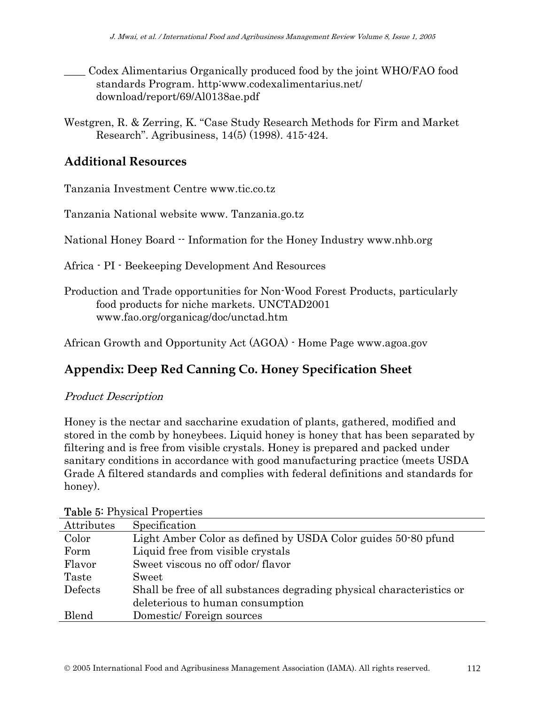- \_\_\_\_ Codex Alimentarius Organically produced food by the joint WHO/FAO food standards Program. http:www.codexalimentarius.net/ download/report/69/Al0138ae.pdf
- Westgren, R. & Zerring, K. "Case Study Research Methods for Firm and Market Research". Agribusiness, 14(5) (1998). 415-424.

#### **Additional Resources**

Tanzania Investment Centre www.tic.co.tz

Tanzania National website www. Tanzania.go.tz

National Honey Board -- Information for the Honey Industry www.nhb.org

- Africa PI Beekeeping Development And Resources
- Production and Trade opportunities for Non-Wood Forest Products, particularly food products for niche markets. UNCTAD2001 www.fao.org/organicag/doc/unctad.htm

African Growth and Opportunity Act (AGOA) - Home Page www.agoa.gov

### **Appendix: Deep Red Canning Co. Honey Specification Sheet**

#### Product Description

Honey is the nectar and saccharine exudation of plants, gathered, modified and stored in the comb by honeybees. Liquid honey is honey that has been separated by filtering and is free from visible crystals. Honey is prepared and packed under sanitary conditions in accordance with good manufacturing practice (meets USDA Grade A filtered standards and complies with federal definitions and standards for honey).

| Attributes | Specification                                                         |
|------------|-----------------------------------------------------------------------|
| Color      | Light Amber Color as defined by USDA Color guides 50.80 pfund         |
| Form       | Liquid free from visible crystals                                     |
| Flavor     | Sweet viscous no off odor/flavor                                      |
| Taste      | Sweet                                                                 |
| Defects    | Shall be free of all substances degrading physical characteristics or |
|            | deleterious to human consumption                                      |
| Blend      | Domestic/Foreign sources                                              |

#### Table 5: Physical Properties